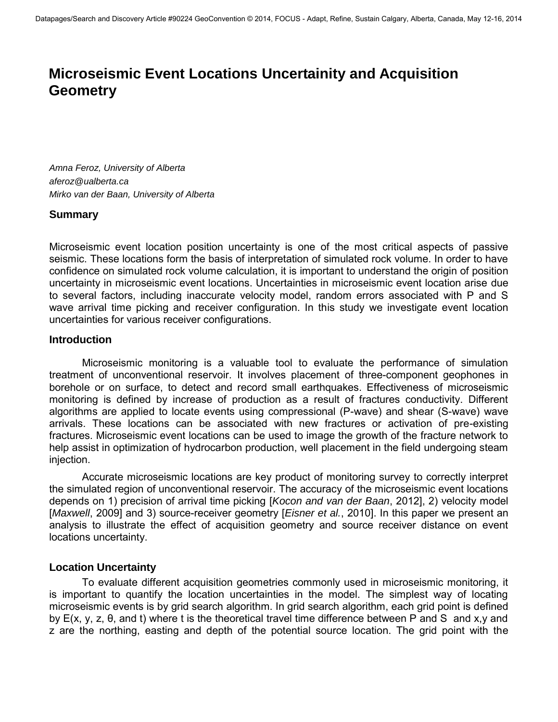# **Microseismic Event Locations Uncertainity and Acquisition Geometry**

*Amna Feroz, University of Alberta [aferoz@ualberta.ca](mailto:aferoz@ualberta.ca) Mirko van der Baan, University of Alberta* 

#### **Summary**

Microseismic event location position uncertainty is one of the most critical aspects of passive seismic. These locations form the basis of interpretation of simulated rock volume. In order to have confidence on simulated rock volume calculation, it is important to understand the origin of position uncertainty in microseismic event locations. Uncertainties in microseismic event location arise due to several factors, including inaccurate velocity model, random errors associated with P and S wave arrival time picking and receiver configuration. In this study we investigate event location uncertainties for various receiver configurations.

#### **Introduction**

Microseismic monitoring is a valuable tool to evaluate the performance of simulation treatment of unconventional reservoir. It involves placement of three-component geophones in borehole or on surface, to detect and record small earthquakes. Effectiveness of microseismic monitoring is defined by increase of production as a result of fractures conductivity. Different algorithms are applied to locate events using compressional (P-wave) and shear (S-wave) wave arrivals. These locations can be associated with new fractures or activation of pre-existing fractures. Microseismic event locations can be used to image the growth of the fracture network to help assist in optimization of hydrocarbon production, well placement in the field undergoing steam injection.

Accurate microseismic locations are key product of monitoring survey to correctly interpret the simulated region of unconventional reservoir. The accuracy of the microseismic event locations depends on 1) precision of arrival time picking [*Kocon and van der Baan*, 2012], 2) velocity model [*Maxwell*, 2009] and 3) source-receiver geometry [*Eisner et al.*, 2010]. In this paper we present an analysis to illustrate the effect of acquisition geometry and source receiver distance on event locations uncertainty.

#### **Location Uncertainty**

To evaluate different acquisition geometries commonly used in microseismic monitoring, it is important to quantify the location uncertainties in the model. The simplest way of locating microseismic events is by grid search algorithm. In grid search algorithm, each grid point is defined by E(x, y, z, θ, and t) where t is the theoretical travel time difference between P and S and x,y and z are the northing, easting and depth of the potential source location. The grid point with the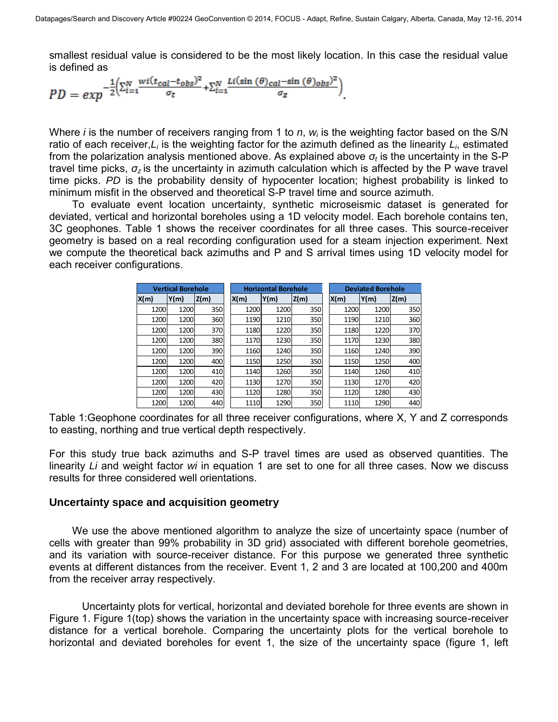smallest residual value is considered to be the most likely location. In this case the residual value is defined as

$$
PD = exp^{-\frac{1}{2} \left( \sum_{i=1}^{N} \frac{wi(t_{cal} - t_{obs})^2}{\sigma_t} + \sum_{i=1}^{N} \frac{Li(\sin(\theta)_{cal} - \sin(\theta)_{obs})^2}{\sigma_z} \right)}.
$$

Where *i* is the number of receivers ranging from 1 to *n*, *wi* is the weighting factor based on the S/N ratio of each receiver,*Li* is the weighting factor for the azimuth defined as the linearity *Li*, estimated from the polarization analysis mentioned above. As explained above *σt* is the uncertainty in the S-P travel time picks, *σz* is the uncertainty in azimuth calculation which is affected by the P wave travel time picks. *PD* is the probability density of hypocenter location; highest probability is linked to minimum misfit in the observed and theoretical S-P travel time and source azimuth.

To evaluate event location uncertainty, synthetic microseismic dataset is generated for deviated, vertical and horizontal boreholes using a 1D velocity model. Each borehole contains ten, 3C geophones. Table 1 shows the receiver coordinates for all three cases. This source-receiver geometry is based on a real recording configuration used for a steam injection experiment. Next we compute the theoretical back azimuths and P and S arrival times using 1D velocity model for each receiver configurations.

| <b>Vertical Borehole</b> |      |      | <b>Horizontal Borehole</b> |      |      | <b>Deviated Borehole</b> |      |      |
|--------------------------|------|------|----------------------------|------|------|--------------------------|------|------|
| X(m)                     | Y(m) | Z(m) | X(m)                       | Y(m) | Z(m) | X(m)                     | Y(m) | Z(m) |
| 1200                     | 1200 | 350  | 1200                       | 1200 | 350  | 1200                     | 1200 | 350  |
| 1200                     | 1200 | 360  | 1190                       | 1210 | 350  | 1190                     | 1210 | 360  |
| 1200                     | 1200 | 370  | 1180                       | 1220 | 350  | 1180                     | 1220 | 370  |
| 1200                     | 1200 | 380  | 1170                       | 1230 | 350  | 1170                     | 1230 | 380  |
| 1200                     | 1200 | 390  | 1160                       | 1240 | 350  | 1160                     | 1240 | 390  |
| 1200                     | 1200 | 400  | 1150                       | 1250 | 350  | 1150                     | 1250 | 400  |
| 1200                     | 1200 | 410  | 1140                       | 1260 | 350  | 1140                     | 1260 | 410  |
| 1200                     | 1200 | 420  | 1130                       | 1270 | 350  | 1130                     | 1270 | 420  |
| 1200                     | 1200 | 430  | 1120                       | 1280 | 350  | 1120                     | 1280 | 430  |
| 1200                     | 1200 | 440  | 1110                       | 1290 | 350  | 1110                     | 1290 | 440  |

Table 1:Geophone coordinates for all three receiver configurations, where X, Y and Z corresponds to easting, northing and true vertical depth respectively.

For this study true back azimuths and S-P travel times are used as observed quantities. The linearity *Li* and weight factor *wi* in equation 1 are set to one for all three cases. Now we discuss results for three considered well orientations.

#### **Uncertainty space and acquisition geometry**

We use the above mentioned algorithm to analyze the size of uncertainty space (number of cells with greater than 99% probability in 3D grid) associated with different borehole geometries, and its variation with source-receiver distance. For this purpose we generated three synthetic events at different distances from the receiver. Event 1, 2 and 3 are located at 100,200 and 400m from the receiver array respectively.

Uncertainty plots for vertical, horizontal and deviated borehole for three events are shown in Figure 1. Figure 1(top) shows the variation in the uncertainty space with increasing source-receiver distance for a vertical borehole. Comparing the uncertainty plots for the vertical borehole to horizontal and deviated boreholes for event 1, the size of the uncertainty space (figure 1, left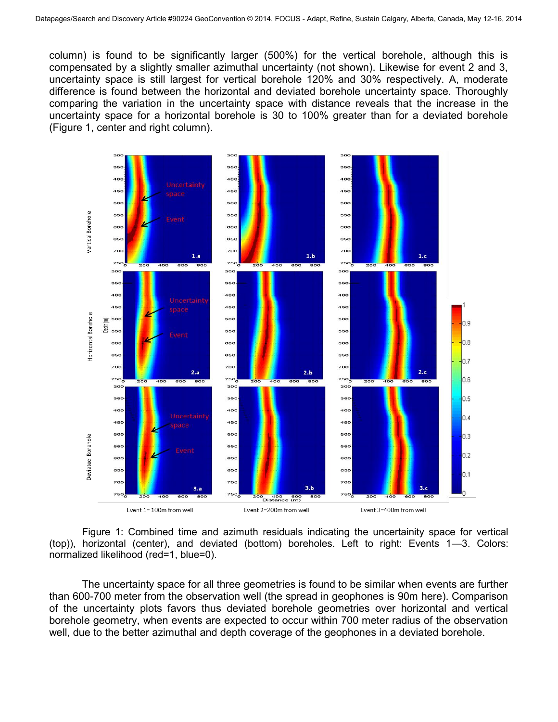column) is found to be significantly larger (500%) for the vertical borehole, although this is compensated by a slightly smaller azimuthal uncertainty (not shown). Likewise for event 2 and 3, uncertainty space is still largest for vertical borehole 120% and 30% respectively. A, moderate difference is found between the horizontal and deviated borehole uncertainty space. Thoroughly comparing the variation in the uncertainty space with distance reveals that the increase in the uncertainty space for a horizontal borehole is 30 to 100% greater than for a deviated borehole (Figure 1, center and right column).



Figure 1: Combined time and azimuth residuals indicating the uncertainity space for vertical (top)), horizontal (center), and deviated (bottom) boreholes. Left to right: Events 1—3. Colors: normalized likelihood (red=1, blue=0).

The uncertainty space for all three geometries is found to be similar when events are further than 600-700 meter from the observation well (the spread in geophones is 90m here). Comparison of the uncertainty plots favors thus deviated borehole geometries over horizontal and vertical borehole geometry, when events are expected to occur within 700 meter radius of the observation well, due to the better azimuthal and depth coverage of the geophones in a deviated borehole.